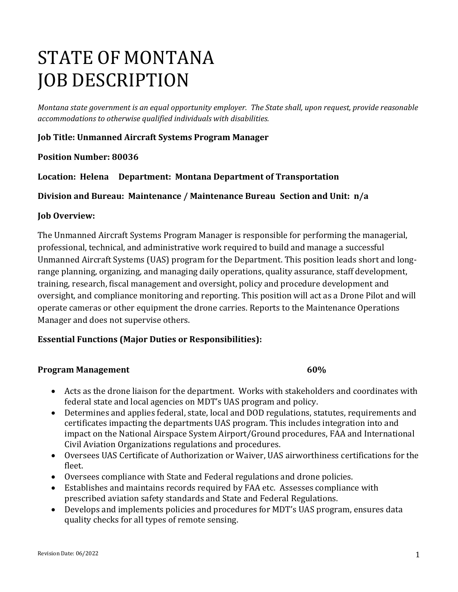# STATE OF MONTANA JOB DESCRIPTION

*Montana state government is an equal opportunity employer. The State shall, upon request, provide reasonable accommodations to otherwise qualified individuals with disabilities.*

# **Job Title: Unmanned Aircraft Systems Program Manager**

# **Position Number: 80036**

**Location: Helena Department: Montana Department of Transportation** 

**Division and Bureau: Maintenance / Maintenance Bureau Section and Unit: n/a**

# **Job Overview:**

The Unmanned Aircraft Systems Program Manager is responsible for performing the managerial, professional, technical, and administrative work required to build and manage a successful Unmanned Aircraft Systems (UAS) program for the Department. This position leads short and longrange planning, organizing, and managing daily operations, quality assurance, staff development, training, research, fiscal management and oversight, policy and procedure development and oversight, and compliance monitoring and reporting. This position will act as a Drone Pilot and will operate cameras or other equipment the drone carries. Reports to the Maintenance Operations Manager and does not supervise others.

# **Essential Functions (Major Duties or Responsibilities):**

# **Program Management 60%**

- Acts as the drone liaison for the department. Works with stakeholders and coordinates with federal state and local agencies on MDT's UAS program and policy.
- Determines and applies federal, state, local and DOD regulations, statutes, requirements and certificates impacting the departments UAS program. This includes integration into and impact on the National Airspace System Airport/Ground procedures, FAA and International Civil Aviation Organizations regulations and procedures.
- Oversees UAS Certificate of Authorization or Waiver, UAS airworthiness certifications for the fleet.
- Oversees compliance with State and Federal regulations and drone policies.
- Establishes and maintains records required by FAA etc. Assesses compliance with prescribed aviation safety standards and State and Federal Regulations.
- Develops and implements policies and procedures for MDT's UAS program, ensures data quality checks for all types of remote sensing.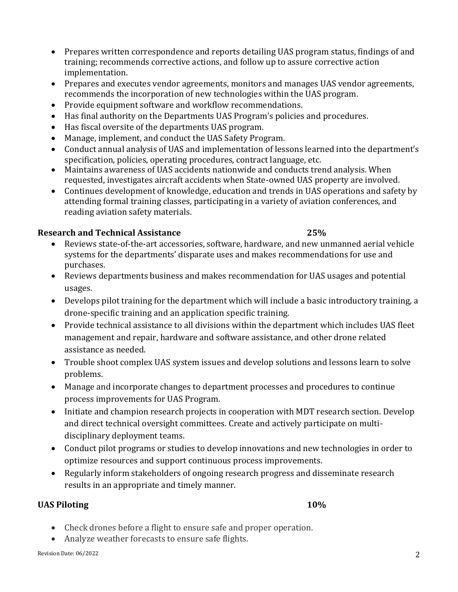• Prepares written correspondence and reports detailing UAS program status, findings of and training; recommends corrective actions, and follow up to assure corrective action implementation.

- Prepares and executes vendor agreements, monitors and manages UAS vendor agreements, recommends the incorporation of new technologies within the UAS program.
- Provide equipment software and workflow recommendations.
- Has final authority on the Departments UAS Program's policies and procedures.
- Has fiscal oversite of the departments UAS program.
- Manage, implement, and conduct the UAS Safety Program.
- Conduct annual analysis of UAS and implementation of lessons learned into the department's specification, policies, operating procedures, contract language, etc.
- Maintains awareness of UAS accidents nationwide and conducts trend analysis. When requested, investigates aircraft accidents when State-owned UAS property are involved.
- Continues development of knowledge, education and trends in UAS operations and safety by attending formal training classes, participating in a variety of aviation conferences, and reading aviation safety materials.

# **Research and Technical Assistance 25%**

- Reviews state-of-the-art accessories, software, hardware, and new unmanned aerial vehicle systems for the departments' disparate uses and makes recommendations for use and purchases.
- Reviews departments business and makes recommendation for UAS usages and potential usages.
- Develops pilot training for the department which will include a basic introductory training, a drone-specific training and an application specific training.
- Provide technical assistance to all divisions within the department which includes UAS fleet management and repair, hardware and software assistance, and other drone related assistance as needed.
- Trouble shoot complex UAS system issues and develop solutions and lessons learn to solve problems.
- Manage and incorporate changes to department processes and procedures to continue process improvements for UAS Program.
- Initiate and champion research projects in cooperation with MDT research section. Develop and direct technical oversight committees. Create and actively participate on multidisciplinary deployment teams.
- Conduct pilot programs or studies to develop innovations and new technologies in order to optimize resources and support continuous process improvements.
- Regularly inform stakeholders of ongoing research progress and disseminate research results in an appropriate and timely manner.

# **UAS Piloting 10%**

- Check drones before a flight to ensure safe and proper operation.
- Analyze weather forecasts to ensure safe flights.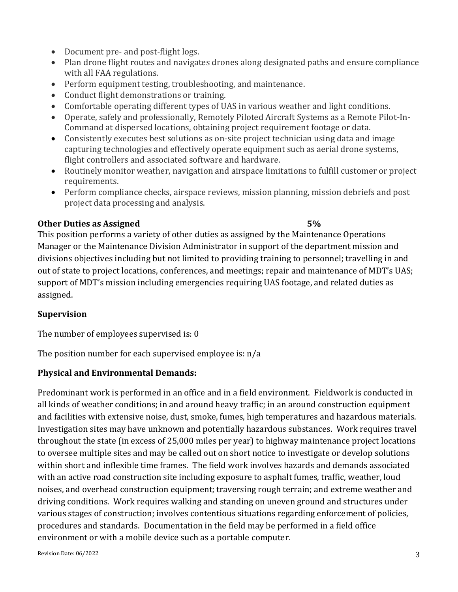- Document pre- and post-flight logs.
- Plan drone flight routes and navigates drones along designated paths and ensure compliance with all FAA regulations.
- Perform equipment testing, troubleshooting, and maintenance.
- Conduct flight demonstrations or training.
- Comfortable operating different types of UAS in various weather and light conditions.
- Operate, safely and professionally, Remotely Piloted Aircraft Systems as a Remote Pilot-In-Command at dispersed locations, obtaining project requirement footage or data.
- Consistently executes best solutions as on-site project technician using data and image capturing technologies and effectively operate equipment such as aerial drone systems, flight controllers and associated software and hardware.
- Routinely monitor weather, navigation and airspace limitations to fulfill customer or project requirements.
- Perform compliance checks, airspace reviews, mission planning, mission debriefs and post project data processing and analysis.

### **Other Duties as Assigned 5%**

This position performs a variety of other duties as assigned by the Maintenance Operations Manager or the Maintenance Division Administrator in support of the department mission and divisions objectives including but not limited to providing training to personnel; travelling in and out of state to project locations, conferences, and meetings; repair and maintenance of MDT's UAS; support of MDT's mission including emergencies requiring UAS footage, and related duties as assigned.

### **Supervision**

The number of employees supervised is: 0

The position number for each supervised employee is: n/a

# **Physical and Environmental Demands:**

Predominant work is performed in an office and in a field environment. Fieldwork is conducted in all kinds of weather conditions; in and around heavy traffic; in an around construction equipment and facilities with extensive noise, dust, smoke, fumes, high temperatures and hazardous materials. Investigation sites may have unknown and potentially hazardous substances. Work requires travel throughout the state (in excess of 25,000 miles per year) to highway maintenance project locations to oversee multiple sites and may be called out on short notice to investigate or develop solutions within short and inflexible time frames. The field work involves hazards and demands associated with an active road construction site including exposure to asphalt fumes, traffic, weather, loud noises, and overhead construction equipment; traversing rough terrain; and extreme weather and driving conditions. Work requires walking and standing on uneven ground and structures under various stages of construction; involves contentious situations regarding enforcement of policies, procedures and standards. Documentation in the field may be performed in a field office environment or with a mobile device such as a portable computer.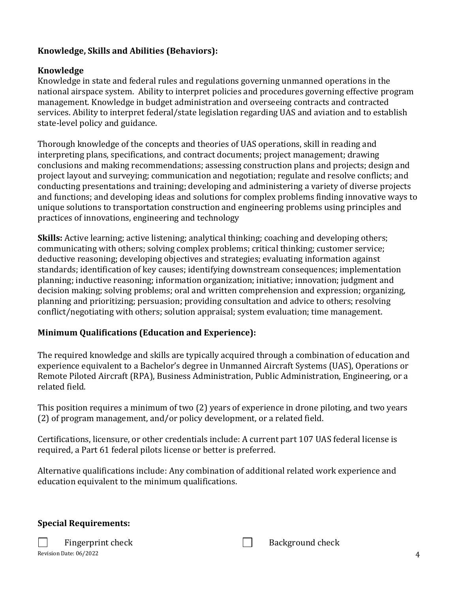# **Knowledge, Skills and Abilities (Behaviors):**

# **Knowledge**

Knowledge in state and federal rules and regulations governing unmanned operations in the national airspace system. Ability to interpret policies and procedures governing effective program management. Knowledge in budget administration and overseeing contracts and contracted services. Ability to interpret federal/state legislation regarding UAS and aviation and to establish state-level policy and guidance.

Thorough knowledge of the concepts and theories of UAS operations, skill in reading and interpreting plans, specifications, and contract documents; project management; drawing conclusions and making recommendations; assessing construction plans and projects; design and project layout and surveying; communication and negotiation; regulate and resolve conflicts; and conducting presentations and training; developing and administering a variety of diverse projects and functions; and developing ideas and solutions for complex problems finding innovative ways to unique solutions to transportation construction and engineering problems using principles and practices of innovations, engineering and technology

**Skills:** Active learning; active listening; analytical thinking; coaching and developing others; communicating with others; solving complex problems; critical thinking; customer service; deductive reasoning; developing objectives and strategies; evaluating information against standards; identification of key causes; identifying downstream consequences; implementation planning; inductive reasoning; information organization; initiative; innovation; judgment and decision making; solving problems; oral and written comprehension and expression; organizing, planning and prioritizing; persuasion; providing consultation and advice to others; resolving conflict/negotiating with others; solution appraisal; system evaluation; time management.

# **Minimum Qualifications (Education and Experience):**

The required knowledge and skills are typically acquired through a combination of education and experience equivalent to a Bachelor's degree in Unmanned Aircraft Systems (UAS), Operations or Remote Piloted Aircraft (RPA), Business Administration, Public Administration, Engineering, or a related field.

This position requires a minimum of two (2) years of experience in drone piloting, and two years (2) of program management, and/or policy development, or a related field.

Certifications, licensure, or other credentials include: A current part 107 UAS federal license is required, a Part 61 federal pilots license or better is preferred.

Alternative qualifications include: Any combination of additional related work experience and education equivalent to the minimum qualifications.

# **Special Requirements:**

Revision Date: 06/2022 4 Fingerprint check  $\Box$ 

| <b>Background check</b> |  |
|-------------------------|--|
|                         |  |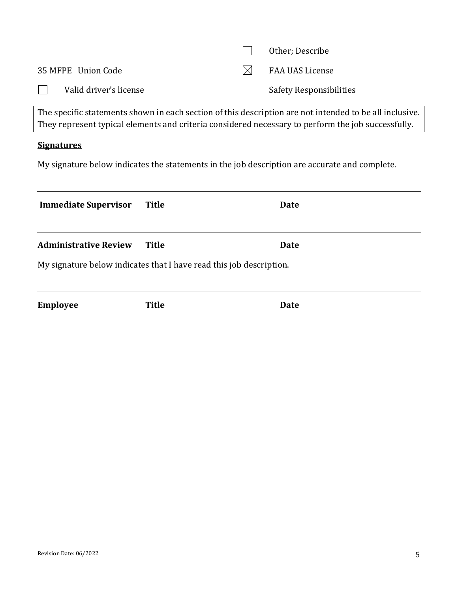|                        | Other; Describe         |
|------------------------|-------------------------|
| 35 MFPE Union Code     | FAA UAS License         |
| Valid driver's license | Safety Responsibilities |

The specific statements shown in each section of this description are not intended to be all inclusive. They represent typical elements and criteria considered necessary to perform the job successfully.

# **Signatures**

My signature below indicates the statements in the job description are accurate and complete.

| <b>Immediate Supervisor</b>  | Title                                                               | Date |
|------------------------------|---------------------------------------------------------------------|------|
| <b>Administrative Review</b> | Title                                                               | Date |
|                              | My signature below indicates that I have read this job description. |      |

**Employee Title Date**